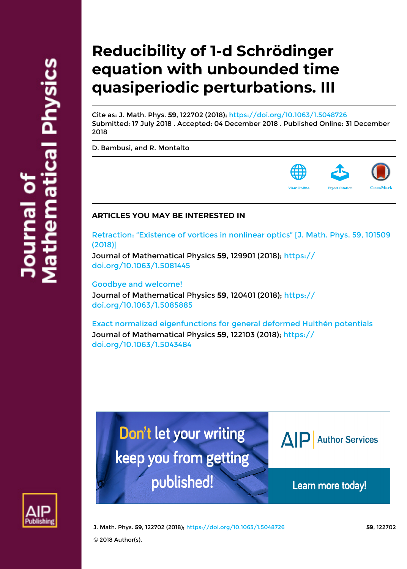# **Reducibility of 1-d Schrödinger equation with unbounded time quasiperiodic perturbations. III**

Cite as: J. Math. Phys. **59**, 122702 (2018);<https://doi.org/10.1063/1.5048726> Submitted: 17 July 2018 . Accepted: 04 December 2018 . Published Online: 31 December 2018

[D. Bambusi,](https://aip.scitation.org/author/Bambusi%2C+D) and [R. Montalto](https://aip.scitation.org/author/Montalto%2C+R)



### **ARTICLES YOU MAY BE INTERESTED IN**

[Retraction: "Existence of vortices in nonlinear optics" \[J. Math. Phys. 59, 101509](https://aip.scitation.org/doi/10.1063/1.5081445) [\(2018\)\]](https://aip.scitation.org/doi/10.1063/1.5081445)

Journal of Mathematical Physics **59**, 129901 (2018); [https://](https://doi.org/10.1063/1.5081445) [doi.org/10.1063/1.5081445](https://doi.org/10.1063/1.5081445)

[Goodbye and welcome!](https://aip.scitation.org/doi/10.1063/1.5085885) Journal of Mathematical Physics **59**, 120401 (2018); [https://](https://doi.org/10.1063/1.5085885) [doi.org/10.1063/1.5085885](https://doi.org/10.1063/1.5085885)

[Exact normalized eigenfunctions for general deformed Hulthén potentials](https://aip.scitation.org/doi/10.1063/1.5043484) Journal of Mathematical Physics **59**, 122103 (2018); [https://](https://doi.org/10.1063/1.5043484) [doi.org/10.1063/1.5043484](https://doi.org/10.1063/1.5043484)



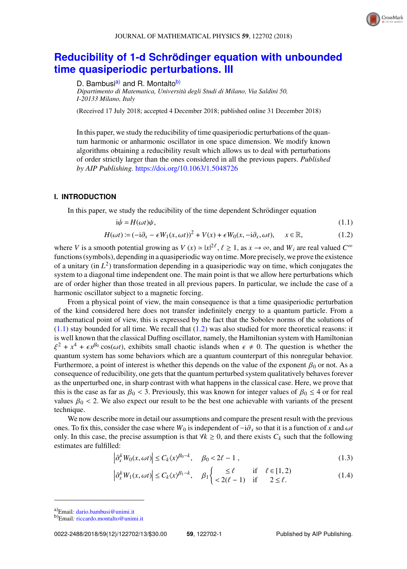<span id="page-1-3"></span><span id="page-1-2"></span>

## **Reducibility of 1-d Schrödinger equation with unbounded [time quasiperiodic perturbations. III](https://doi.org/10.1063/1.5048726)**

D. Bambusi<sup>[a\)](#page-1-0)</sup> and R. Montalto<sup>[b\)](#page-1-1)</sup>

*Dipartimento di Matematica, Universita degli Studi di Milano, Via Saldini 50, ` I-20133 Milano, Italy*

(Received 17 July 2018; accepted 4 December 2018; published online 31 December 2018)

In this paper, we study the reducibility of time quasiperiodic perturbations of the quantum harmonic or anharmonic oscillator in one space dimension. We modify known algorithms obtaining a reducibility result which allows us to deal with perturbations of order strictly larger than the ones considered in all the previous papers. *Published by AIP Publishing.* <https://doi.org/10.1063/1.5048726>

#### **I. INTRODUCTION**

In this paper, we study the reducibility of the time dependent Schrödinger equation

$$
i\dot{\psi} = H(\omega t)\psi,\tag{1.1}
$$

$$
H(\omega t) := (-i\partial_x - \epsilon W_1(x, \omega t))^2 + V(x) + \epsilon W_0(x, -i\partial_x, \omega t), \quad x \in \mathbb{R},
$$
 (1.2)

where *V* is a smooth potential growing as  $V(x) \approx |x|^2 \ell$ ,  $\ell \ge 1$ , as  $x \to \infty$ , and  $W_i$  are real valued  $C^{\infty}$  functions (symbols), depending in a quasiperiodic way on time. More precisely, we prove the existence functions (symbols), depending in a quasiperiodic way on time. More precisely, we prove the existence of a unitary (in  $L^2$ ) transformation depending in a quasiperiodic way on time, which conjugates the system to a diagonal time independent one. The main point is that we allow here perturbations which are of order higher than those treated in all previous papers. In particular, we include the case of a harmonic oscillator subject to a magnetic forcing.

From a physical point of view, the main consequence is that a time quasiperiodic perturbation of the kind considered here does not transfer indefinitely energy to a quantum particle. From a mathematical point of view, this is expressed by the fact that the Sobolev norms of the solutions of  $(1.1)$  stay bounded for all time. We recall that  $(1.2)$  was also studied for more theoretical reasons: it is well known that the classical Duffing oscillator, namely, the Hamiltonian system with Hamiltonian ξ quantum system has some behaviors which are a quantum counterpart of this nonregular behavior.  $2 + x^4 + \epsilon x^{60} \cos(\omega t)$ , exhibits small chaotic islands when  $\epsilon \neq 0$ . The question is whether the usuatum system has some behaviors which are a quantum counternart of this nonregular behavior. Furthermore, a point of interest is whether this depends on the value of the exponent  $\beta_0$  or not. As a consequence of reducibility, one gets that the quantum perturbed system qualitatively behaves forever as the unperturbed one, in sharp contrast with what happens in the classical case. Here, we prove that this is the case as far as  $\beta_0 < 3$ . Previously, this was known for integer values of  $\beta_0 \leq 4$  or for real technique.

values  $\beta_0 < 2$ . We also expect our result to be the best one achievable with variants of the present<br>technique.<br>We now describe more in detail our assumptions and compare the present result with the previous<br>ones. To fi We now describe more in detail our assumptions and compare the present result with the previous only. In this case, the precise assumption is that  $\forall k \geq 0$ , and there exists  $C_k$  such that the following estimates are fulfilled:

$$
\left|\partial_x^k W_0(x,\omega t)\right| \le C_k \langle x \rangle^{\beta_0 - k}, \quad \beta_0 < 2\ell - 1 \tag{1.3}
$$

$$
\left|\partial_x^k W_1(x,\omega t)\right| \le C_k \langle x \rangle^{\beta_1 - k}, \quad \beta_1 \begin{cases} \le \ell & \text{if } \ell \in [1,2) \\ < 2(\ell - 1) & \text{if } 2 \le \ell. \end{cases} \tag{1.4}
$$

<span id="page-1-0"></span>a)Email*:* [dario.bambusi@unimi.it](mailto:dario.bambusi@unimi.it)

<span id="page-1-1"></span>b)Email*:* [riccardo.montalto@unimi.it](mailto:riccardo.montalto@unimi.it)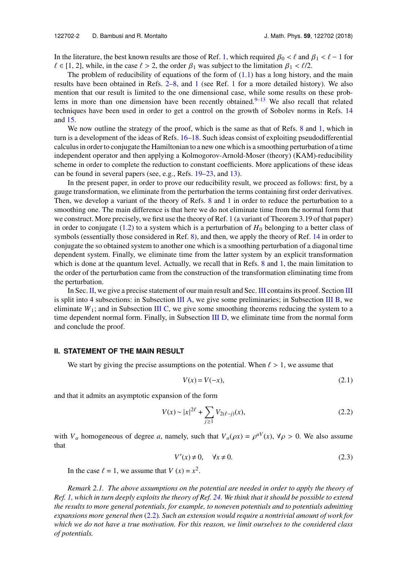In the literature, the best known results are those of Ref. [1,](#page-12-0) which required  $\beta_0 < \ell$  and  $\beta_1 < \ell - 1$  for  $\ell \in [1, 2]$ , while, in the case  $\ell > 2$ , the order  $\beta_1$  was subject to the limitation  $\beta_1 < \ell/2$ .

The problem of reducibility of equations of the form of  $(1.1)$  has a long history, and the main results have been obtained in Refs. [2–](#page-12-1)[8,](#page-13-0) and [1](#page-12-0) (see Ref. [1](#page-12-0) for a more detailed history). We also mention that our result is limited to the one dimensional case, while some results on these prob-lems in more than one dimension have been recently obtained.<sup>[9–](#page-13-1)[13](#page-13-2)</sup> We also recall that related techniques have been used in order to get a control on the growth of Sobolev norms in Refs. [14](#page-13-3) and [15.](#page-13-4)

We now outline the strategy of the proof, which is the same as that of Refs. [8](#page-13-0) and [1,](#page-12-0) which in turn is a development of the ideas of Refs. [16](#page-13-5)[–18.](#page-13-6) Such ideas consist of exploiting pseudodifferential calculus in order to conjugate the Hamiltonian to a new one which is a smoothing perturbation of a time independent operator and then applying a Kolmogorov-Arnold-Moser (theory) (KAM)-reducibility scheme in order to complete the reduction to constant coefficients. More applications of these ideas can be found in several papers (see, e.g., Refs. [19](#page-13-7)[–23,](#page-13-8) and [13\)](#page-13-2).

In the present paper, in order to prove our reducibility result, we proceed as follows: first, by a gauge transformation, we eliminate from the perturbation the terms containing first order derivatives. Then, we develop a variant of the theory of Refs. [8](#page-13-0) and [1](#page-12-0) in order to reduce the perturbation to a smoothing one. The main difference is that here we do not eliminate time from the normal form that we construct. More precisely, we first use the theory of Ref. [1](#page-12-0) (a variant of Theorem 3.19 of that paper) in order to conjugate  $(1.2)$  to a system which is a perturbation of  $H_0$  belonging to a better class of symbols (essentially those considered in Ref. [8\)](#page-13-0), and then, we apply the theory of Ref. [14](#page-13-3) in order to conjugate the so obtained system to another one which is a smoothing perturbation of a diagonal time dependent system. Finally, we eliminate time from the latter system by an explicit transformation which is done at the quantum level. Actually, we recall that in Refs. [8](#page-13-0) and [1,](#page-12-0) the main limitation to the order of the perturbation came from the construction of the transformation eliminating time from the perturbation.

In Sec. [II,](#page-2-0) we give a precise statement of our main result and Sec. [III](#page-5-0) contains its proof. Section III is split into 4 subsections: in Subsection [III A,](#page-5-1) we give some preliminaries; in Subsection [III B,](#page-6-0) we eliminate  $W_1$ ; and in Subsection [III C,](#page-7-0) we give some smoothing theorems reducing the system to a time dependent normal form. Finally, in Subsection [III D,](#page-11-0) we eliminate time from the normal form and conclude the proof.

#### <span id="page-2-0"></span>**II. STATEMENT OF THE MAIN RESULT**

We start by giving the precise assumptions on the potential. When  $\ell > 1$ , we assume that

<span id="page-2-1"></span>
$$
V(x) = V(-x),\tag{2.1}
$$

and that it admits an asymptotic expansion of the form

$$
V(x) \sim |x|^{2\ell} + \sum_{j \ge 1} V_{2(\ell-j)}(x),\tag{2.2}
$$

with *V<sub>a</sub>* homogeneous of degree *a*, namely, such that  $V_a(\rho x) = \rho^{aV}(x)$ ,  $\forall \rho > 0$ . We also assume that

$$
V'(x) \neq 0, \quad \forall x \neq 0. \tag{2.3}
$$

In the case  $\ell = 1$ , we assume that  $V(x) = x^2$ .

*Remark 2.1. The above assumptions on the potential are needed in order to apply the theory of Ref. [1,](#page-12-0) which in turn deeply exploits the theory of Ref. [24.](#page-13-9) We think that it should be possible to extend the results to more general potentials, for example, to noneven potentials and to potentials admitting expansions more general then* [\(2.2\)](#page-2-1)*. Such an extension would require a nontrivial amount of work for which we do not have a true motivation. For this reason, we limit ourselves to the considered class of potentials.*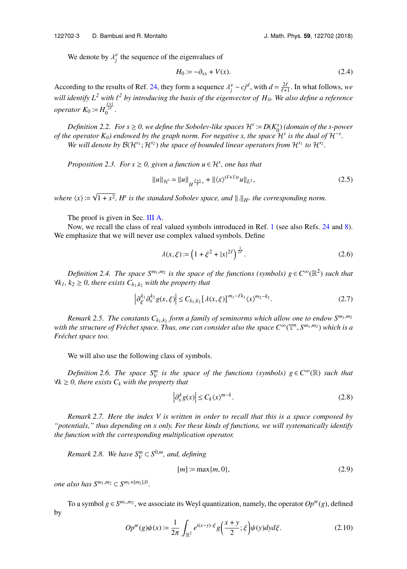We denote by  $\lambda_j^v$  the sequence of the eigenvalues of

$$
H_0 := -\partial_{xx} + V(x). \tag{2.4}
$$

According to the results of Ref. [24,](#page-13-9) they form a sequence  $\lambda_j^v \sim cj^d$ , with  $d = \frac{2\ell}{\ell+1}$ . In what follows, *we*<br>*will identify*  $L^2$  with  $\ell^2$  by interducing the harit of the sigmanter of  $U$ . We also define a pro *will identify*  $L^2$  *with*  $\ell^2$  *by introducing the basis of the eigenvector of H<sub>0</sub>. We also define a reference operator*  $K_0 := H_0^{\frac{\ell+1}{2\ell}}$ .

*Definition 2.2. For s*  $\geq$  0, we define the Sobolev-like spaces  $\mathcal{H}^s := D(K_0^s)$  (domain of the s-power *of the operator*  $K_0$ ) endowed by the graph norm. For negative s, the space  $\mathcal{H}^s$  is the dual of  $\mathcal{H}^{-s}$ . We will denote by  $\mathcal{B}(\mathcal{H}^{s_1}; \mathcal{H}^{s_2})$  the space of bounded linear operators from  $\mathcal{H}^{s_1}$  to  $\mathcal{H}^{s_2}$ .

*Proposition 2.3. For*  $s \geq 0$ , given a function  $u \in \mathcal{H}^s$ , one has that

<span id="page-3-0"></span>
$$
||u||_{\mathcal{H}^{s}} \simeq ||u||_{H^{\frac{\ell+1}{\ell}s}} + ||\langle x \rangle^{(\ell+1)s} u||_{L^{2}},
$$
\n(2.5)

where  $\langle x \rangle \coloneqq \sqrt{\langle x \rangle^2}$  $\overline{1 + x^2}$ ,  $H^s$  is the standard Sobolev space, and  $\Vert . \Vert_{H^s}$  the corresponding norm.

The proof is given in Sec. [III A.](#page-5-1)

Now, we recall the class of real valued symbols introduced in Ref. [1](#page-12-0) (see also Refs. [24](#page-13-9) and [8\)](#page-13-0). We emphasize that we will never use complex valued symbols. Define

$$
\lambda(x,\xi) := \left(1 + \xi^2 + |x|^{2\ell}\right)^{\frac{1}{2\ell}}.\tag{2.6}
$$

*Definition 2.4. The space*  $S^{m_1,m_2}$  *is the space of the functions (symbols)*  $g \in C^{\infty}(\mathbb{R}^2)$  such that ∀*k1, k<sup>2</sup>* ≥ *0, there exists Ck*1,*k*<sup>2</sup> *with the property that*

$$
\left|\partial_{\xi}^{k_1} \partial_{x}^{k_2} g(x,\xi)\right| \leq C_{k_1,k_2} \left[\lambda(x,\xi)\right]^{m_1-\ell k_1} \langle x \rangle^{m_2-k_2}.
$$
\n(2.7)

*Remark 2.5. The constants Ck*1,*k*<sup>2</sup> *form a family of seminorms which allow one to endow Sm*1,*m*<sup>2</sup>  $\omega$  *with the structure of Fréchet space. Thus, one can consider also the space*  $C^{\infty}(\mathbb{T}^n, S^{m_1,m_2})$  *which is a Frechet space too. ´*

We will also use the following class of symbols.

*Definition 2.6. The space*  $S_V^m$  *is the space of the functions (symbols)*  $g \in C^\infty(\mathbb{R})$  *such that* ∀*k* ≥ *0, there exists C<sup>k</sup> with the property that*

$$
\left|\partial_x^k g(x)\right| \le C_k \langle x \rangle^{m-k}.\tag{2.8}
$$

*Remark 2.7. Here the index V is written in order to recall that this is a space composed by "potentials," thus depending on x only. For these kinds of functions, we will systematically identify the function with the corresponding multiplication operator.*

*Remark 2.8. We have*  $S_V^m \subset S^{0,m}$ *, and, defining* 

$$
[m] \coloneqq \max\{m, 0\},\tag{2.9}
$$

*one also has*  $S^{m_1, m_2}$  ⊂  $S^{m_1+[m_2], 0}$ .

To a symbol  $g \in S^{m_1, m_2}$ , we associate its Weyl quantization, namely, the operator  $Op^w(g)$ , defined by

$$
Op^{w}(g)\psi(x) := \frac{1}{2\pi} \int_{\mathbb{R}^2} e^{i(x-y)\cdot\xi} g\left(\frac{x+y}{2}; \xi\right) \psi(y) dy d\xi.
$$
 (2.10)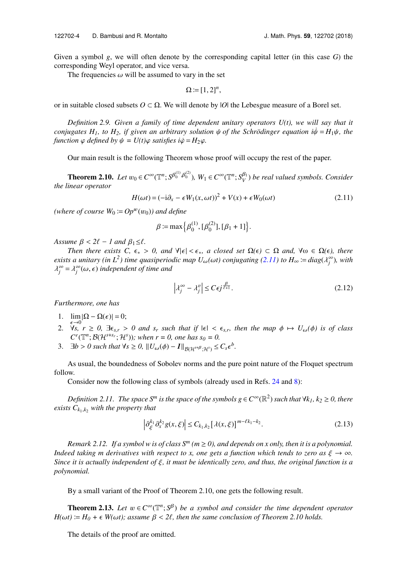Given a symbol *g*, we will often denote by the corresponding capital letter (in this case *G*) the corresponding Weyl operator, and vice versa.

The frequencies  $\omega$  will be assumed to vary in the set

$$
\Omega \coloneqq [1,2]^n,
$$

or in suitable closed subsets *O* ⊂ Ω. We will denote by |*O*| the Lebesgue measure of a Borel set.

*Definition 2.9. Given a family of time dependent unitary operators U(t), we will say that it conjugates H<sub>1</sub></sub>, to H<sub>2</sub>, if given an arbitrary solution*  $\psi$  *of the Schrödinger equation i* $\dot{\psi} = H_1 \psi$ *, the function*  $\varphi$  *defined by*  $\psi = U(t)\varphi$  *satisfies i* $\dot{\varphi} = H_2\varphi$ *.* 

Our main result is the following Theorem whose proof will occupy the rest of the paper.

**Theorem 2.10.** *Let*  $w_0 \in C^\infty(\mathbb{T}^n; S^{\beta_0^{(1)}}, \beta_0^{(2)})$ ,  $W_1 \in C^\infty(\mathbb{T}^n; S^{\beta_1}_{V})$  *be real valued symbols. Consider*<br>*inear operator the linear operator*

<span id="page-4-0"></span>
$$
H(\omega t) = (-i\partial_x - \epsilon W_1(x, \omega t))^2 + V(x) + \epsilon W_0(\omega t)
$$
\n(2.11)

*(where of course*  $W_0 := Op^w(w_0)$ *) and define*<br>  $\beta := \max \Big\{$ <br> *Assume*  $\beta < 2\ell - 1$  and  $\beta_1 \leq \ell$ .<br> *Then there exists*  $C \leq \beta > 0$  and  $\forall | \epsilon |$ 

$$
\beta := \max \Big\{ \beta_0^{(1)}, [\beta_0^{(2)}], [\beta_1 + 1] \Big\}.
$$

*Then there exists C,*  $\epsilon_* > 0$ *, and*  $\forall | \epsilon | \leq \epsilon_*$ *, a closed set*  $\Omega(\epsilon) \subset \Omega$  *and,*  $\forall \omega \in \Omega(\epsilon)$ *, there exists a unitary (in L<sup>2</sup>) time quasiperiodic map*  $U_{\omega}(\omega t)$  *conjugating [\(2.11\)](#page-4-0) to*  $H_{\infty} := diag(\lambda_j^{\infty})$ *, with*  $\lambda^{\infty} - \lambda^{\infty}(\omega, \epsilon)$  independent of time and  $\hat{\lambda}^{\infty}_{j} = \lambda^{\infty}_{j}(\omega, \epsilon)$  *independent of time and* 

$$
\left|\lambda_j^{\infty} - \lambda_j^{\nu}\right| \le C\epsilon j^{\frac{\beta}{\ell+1}}.\tag{2.12}
$$

*Furthermore, one has*

- 1.  $\lim_{\epsilon \to 0} |\Omega \Omega(\epsilon)| = 0;$
- 2.  $\forall s, r \ge 0, \exists \epsilon_{s,r} > 0 \text{ and } s_r \text{ such that if } |\epsilon| < \epsilon_{s,r}$ , then the map  $\phi \mapsto U_{\omega}(\phi)$  is of class  $C^r(\mathbb{T}^n \cdot \mathcal{R}(1^{s+s_r} \cdot 1^{s}) \cdot \text{ when } r = 0 \text{ one has } s_0 = 0$  $C<sup>r</sup>(\mathbb{T}^n; \mathcal{B}(\mathcal{H}^{s+s_r}; \mathcal{H}^s))$ *; when r = 0, one has s<sub>0</sub> = 0.*
- 3.  $\exists b > 0$  such that  $\forall s \ge 0$ ,  $||U_{\omega}(\phi) I||_{\mathcal{B}(\mathcal{H}^{s+\beta};\mathcal{H}^s)} \le C_s \epsilon^b$ .

As usual, the boundedness of Sobolev norms and the pure point nature of the Floquet spectrum follow.

Consider now the following class of symbols (already used in Refs. [24](#page-13-9) and [8\)](#page-13-0):

Definition 2.11. The space  $S^m$  is the space of the symbols  $g \in C^\infty(\mathbb{R}^2)$  such that  $\forall k_1, k_2 \ge 0$ , there *exists*  $C_{k_1,k_2}$  *with the property that* 

$$
\left|\partial_{\xi}^{k_1}\partial_{x}^{k_2}g(x,\xi)\right|\leq C_{k_1,k_2}\left[\lambda(x,\xi)\right]^{m-\ell k_1-k_2}.\tag{2.13}
$$

*Remark 2.12. If a symbol w is of class*  $S^m$  *(m*  $\geq$  *0), and depends on x only, then it is a polynomial. Indeed taking m derivatives with respect to x, one gets a function which tends to zero as*  $\xi \to \infty$ *. Since it is actually independent of* ξ*, it must be identically zero, and thus, the original function is a polynomial.*

By a small variant of the Proof of Theorem 2.10, one gets the following result.

**Theorem 2.13.** *Let*  $w \in C^{\infty}(\mathbb{T}^n; S^{\beta})$  *be a symbol and consider the time dependent operator*<br>*t*)  $\vdots$   $H_0 + \epsilon W(\omega t)$ ; assume  $B \leq 2\ell$ , then the same conclusion of Theorem 2.10 holds  $H(\omega t) := H_0 + \epsilon W(\omega t)$ ; assume  $\beta < 2\ell$ , then the same conclusion of Theorem 2.10 holds.

The details of the proof are omitted.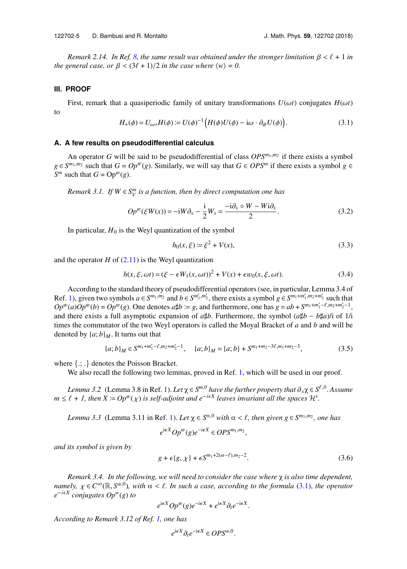*Remark 2.14. In Ref. [8,](#page-13-0) the same result was obtained under the stronger limitation*  $\beta < \ell + 1$  *in the general case, or*  $\beta$  <  $(3\ell + 1)/2$  *in the case where*  $\langle w \rangle = 0$ .

#### <span id="page-5-0"></span>**III. PROOF**

<span id="page-5-2"></span>First, remark that a quasiperiodic family of unitary transformations  $U(\omega t)$  conjugates  $H(\omega t)$ to

$$
H_{+}(\phi) = U_{\omega*}H(\phi) := U(\phi)^{-1} \Big( H(\phi)U(\phi) - i\omega \cdot \partial_{\phi} U(\phi) \Big). \tag{3.1}
$$

#### <span id="page-5-1"></span>**A. A few results on pseudodifferential calculus**

An operator *G* will be said to be pseudodifferential of class *OPSm*1,*m*<sup>2</sup> if there exists a symbol *g* ∈  $S^{m_1,m_2}$  such that  $G = Op^w(g)$ . Similarly, we will say that  $G \in OPS^m$  if there exists a symbol *g* ∈ *S*<sup>*m*</sup> such that *G* = Op<sup>*w*</sup>(*g*).

*Remark 3.1. If*  $W \in S_V^m$  is a function, then by direct computation one has

$$
Op^{w}(\xi W(x)) = -iW\partial_{x} - \frac{i}{2}W_{x} = \frac{-i\partial_{x}\circ W - Wi\partial_{x}}{2}.
$$
 (3.2)

In particular,  $H_0$  is the Weyl quantization of the symbol

$$
h_0(x,\xi) := \xi^2 + V(x),\tag{3.3}
$$

and the operator  $H$  of  $(2.11)$  is the Weyl quantization

$$
h(x,\xi,\omega t) = (\xi - \epsilon W_1(x,\omega t))^2 + V(x) + \epsilon w_0(x,\xi,\omega t).
$$
\n(3.4)

According to the standard theory of pseudodifferential operators (see, in particular, Lemma 3.4 of Ref. [1\)](#page-12-0), given two symbols  $a \in S^{m_1,m_2}$  and  $b \in S^{m'_1,m'_2}$ , there exists a symbol  $g \in S^{m_1+m'_1,m_2+m'_2}$  such that  $Op^w(a)Op^w(b) = Op^w(g)$ . One denotes  $a \sharp b := g$ , and furthermore, one has  $g = ab + S^{m_1 + m_1' - \ell, m_2 + m_2' - 1}$ , and there exists a full asymptotic expansion of  $a \sharp b$ . Eurthermore, the symbol  $(a \sharp b - b \sharp a)$  of 1*i* According to the standard theory of pseudodifferential operators (see, in particular, Lemma 3.4 of<br>Ref. 1), given two symbols  $a \in S^{m_1, m_2}$  and  $b \in S^{m'_1, m'_2}$ , there exists a symbol  $g \in S^{m_1 + m'_1, m_2 + m'_2}$  such that<br> $Op$ times the commutator of the two Weyl operators is called the Moyal Bracket of *a* and *b* and will be denoted by  $\{a; b\}_M$ . It turns out that

$$
\{a;b\}_M \in S^{m_1+m'_1-\ell,m_2+m'_2-1}, \quad \{a;b\}_M = \{a;b\} + S^{m_1+m_2-3\ell,m_1+m_2-3},\tag{3.5}
$$

where {.; .} denotes the Poisson Bracket.

We also recall the following two lemmas, proved in Ref. [1,](#page-12-0) which will be used in our proof.

*Lemma 3.2* (Lemma 3.8 in Ref. [1\)](#page-12-0). *Let*  $\chi \in S^{m,0}$  *have the further property that*  $\partial_x \chi \in S^{\ell,0}$ . Assume  $\ell + 1$  then  $\chi - On^w(x)$  is self-adjoint and  $e^{-i\epsilon X}$  leaves invariant all the spaces  $\mathcal{H}^s$ *m*  $\leq$  *e*  $\neq$  *1, then X*  $:=$  *Op<sup>w</sup>*(*x*) *is self-adjoint and e<sup>-ieX</sup> leaves invariant all the spaces*  $\mathcal{H}^s$ .

*Lemma 3.3* (Lemma 3.11 in Ref. [1\)](#page-12-0). *Let*  $\chi \in S^{\alpha,0}$  *with*  $\alpha < \ell$ , *then given*  $g \in S^{m_1,m_2}$ , *one has* 

 $e^{i\epsilon X}Op^w(g)e^{-i\epsilon X} \in OPS^{m_1,m_2}$ ,

*and its symbol is given by*

$$
g + \epsilon \{g, \chi\} + \epsilon S^{m_1 + 2(\alpha - \ell), m_2 - 2}.
$$
\n(3.6)

*Remark 3.4. In the following, we will need to consider the case where* χ *is also time dependent, namely,*  $\chi \in C^{\infty}(\mathbb{R}, S^{\alpha,0})$ , with  $\alpha < \ell$ . In such a case, according to the formula [\(3.1\)](#page-5-2), *the operator*  $e^{-i\epsilon X}$  conjugates  $On^{\psi}(\alpha)$  to *e iX conjugates Opw*(*g*) *to*

$$
e^{i\epsilon X}Op^w(g)e^{-i\epsilon X} + e^{i\epsilon X}\partial_t e^{-i\epsilon X}.
$$

*According to Remark 3.12 of Ref. [1,](#page-12-0) one has*

$$
e^{\mathrm{i}\epsilon X}\partial_t e^{-\mathrm{i}\epsilon X} \in OPS^{\alpha,0}.
$$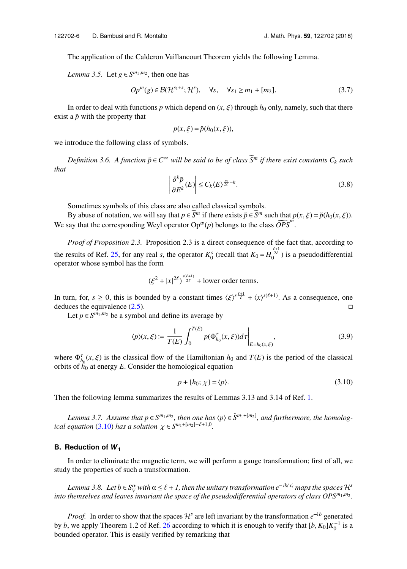The application of the Calderon Vaillancourt Theorem yields the following Lemma.

*Lemma 3.5.* Let  $g \in S^{m_1, m_2}$ , then one has

$$
Op^{w}(g) \in \mathcal{B}(\mathcal{H}^{s_1+s}; \mathcal{H}^s), \quad \forall s, \quad \forall s_1 \ge m_1 + [m_2].
$$
 (3.7)

In order to deal with functions *p* which depend on  $(x, \xi)$  through  $h_0$  only, namely, such that there exist a  $\tilde{p}$  with the property that

$$
p(x,\xi) = \tilde{p}(h_0(x,\xi)),
$$

we introduce the following class of symbols.

*Definition 3.6.* A function  $\tilde{p} \in C^{\infty}$  will be said to be of class  $\widetilde{S}^m$  if there exist constants  $C_k$  such *that*

$$
\left|\frac{\partial^k \tilde{p}}{\partial E^k}(E)\right| \le C_k \langle E \rangle^{\frac{m}{2\ell} - k}.\tag{3.8}
$$

Sometimes symbols of this class are also called classical symbols.

By abuse of notation, we will say that  $p \in \overline{S}^m$  if there exists  $\tilde{p} \in \overline{S}^m$  such that  $p(x, \xi) = \tilde{p}(h_0(x, \xi))$ . We say that the corresponding Weyl operator  $Op^{w}(p)$  belongs to the class  $\widetilde{OPS}^{m}$ .

*Proof of Proposition 2.3.* Proposition 2.3 is a direct consequence of the fact that, according to the results of Ref. [25,](#page-13-10) for any real *s*, the operator  $K_0^s$  (recall that  $K_0 = H_0^{\frac{\ell+1}{2\ell}}$ ) is a pseudodifferential operator whose symbol has the form

<span id="page-6-2"></span>
$$
(\xi^2 + |x|^{2\ell})^{\frac{s(\ell+1)}{2\ell}} + \text{lower order terms.}
$$

In turn, for,  $s \ge 0$ , this is bounded by a constant times  $\langle \xi \rangle^{s} \frac{\xi+1}{\xi} + \langle x \rangle^{s(\ell+1)}$ . As a consequence, one deduces the equivalence (2.5) deduces the equivalence [\(2.5\)](#page-3-0).  $\Box$ 

Let  $p \in S^{m_1, m_2}$  be a symbol and define its average by

$$
\langle p \rangle(x,\xi) := \frac{1}{T(E)} \int_0^{T(E)} p(\Phi_{h_0}^{\tau}(x,\xi)) d\tau \Big|_{E=h_0(x,\xi)}, \tag{3.9}
$$

where  $\Phi_{h_0}^{\tau}(x, \xi)$  is the classical flow of the Hamiltonian  $h_0$  and  $T(E)$  is the period of the classical orbits of  $h_0$  at energy E Consider the homological equation orbits of  $h_0$  at energy *E*. Consider the homological equation

<span id="page-6-1"></span>
$$
p + \{h_0; \chi\} = \langle p \rangle. \tag{3.10}
$$

Then the following lemma summarizes the results of Lemmas 3.13 and 3.14 of Ref. [1.](#page-12-0)

*Lemma 3.7.* Assume that  $p \in S^{m_1,m_2}$ , then one has  $\langle p \rangle \in \tilde{S}^{m_1+[m_2]}$ , and furthermore, the homolog*ical equation* [\(3.10\)](#page-6-1) *has a solution*  $\chi \in S^{m_1+[m_2]-\ell+1,0}$ .

#### <span id="page-6-0"></span>**B.** Reduction of  $W_1$

In order to eliminate the magnetic term, we will perform a gauge transformation; first of all, we study the properties of such a transformation.

*Lemma 3.8. Let b* ∈ *S*<sup>*a*</sup> *with*  $\alpha \leq \ell + 1$ , then the unitary transformation e<sup>-ib(x)</sup> maps the spaces  $\mathcal{H}^s$  *themselves and leaves invariant the space of the need odifferential operators of class*  $\Omega^{g_m,m_2}$ *into themselves and leaves invariant the space of the pseudodifferential operators of class OPSm*1,*m*<sup>2</sup> *.* 

*Proof.* In order to show that the spaces  $\mathcal{H}^s$  are left invariant by the transformation  $e^{-ib}$  generated by *b*, we apply Theorem 1.2 of Ref. [26](#page-13-11) according to which it is enough to verify that  $[b, K_0]K_0^{-1}$  is a bounded operator. This is easily verified by remarking that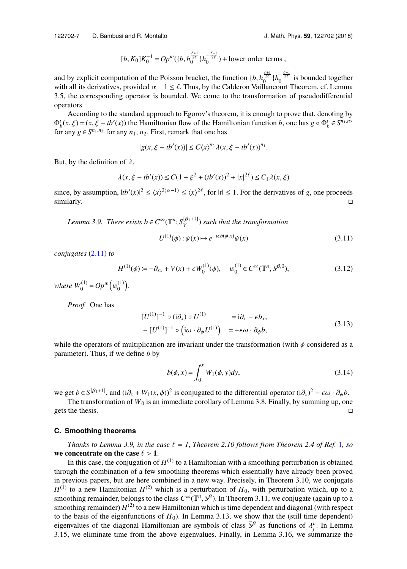$$
[b, K_0]K_0^{-1} = Op^{w}(\{b, h_0^{\frac{\ell+1}{2\ell}}\}h_0^{-\frac{\ell+1}{2\ell}}) + \text{lower order terms} ,
$$

and by explicit computation of the Poisson bracket, the function  $\{b, h_0^{\frac{\ell+1}{2\ell}}\}h_0^{-\frac{\ell+1}{2\ell}}$  is bounded together  $[b, K_0]K_0^{-1} = Op^{w}(\{b, h_0^{\frac{r_2}{2\ell}}\}h_0^{-\frac{r_2}{2\ell}})$  + lower order terms,<br>and by explicit computation of the Poisson bracket, the function  $\{b, h_0^{\frac{\ell+1}{2\ell}}\}h_0^{-\frac{\ell+1}{2\ell}}$  is bounded together<br>with all its deriva 3.5, the corresponding operator is bounded. We come to the transformation of pseudodifferential operators.

According to the standard approach to Egorov's theorem, it is enough to prove that, denoting by  $\Phi_b^t(x, \xi) = (x, \xi - tb'(x))$  the Hamiltonian flow of the Hamiltonian function *b*, one has  $g \circ \Phi_b^t \in S^{n_1, n_2}$  for any  $g \in S^{n_1, n_2}$  for any  $n_1, n_2$ . First, remark that one has for any  $g \in S^{n_1, n_2}$  for any  $n_1, n_2$ . First, remark that one has

$$
|g(x,\xi - tb'(x))| \le C\langle x \rangle^{n_2} \lambda(x,\xi - tb'(x))^{n_1}.
$$

But, by the definition of  $\lambda$ ,

$$
\lambda(x, \xi - tb'(x)) \le C(1 + \xi^2 + (tb'(x))^2 + |x|^{2\ell}) \le C_1 \lambda(x, \xi)
$$

 $\lambda(x, \xi - tb'(x)) \le C(1 + \xi^2 + (tb'(x))^2 + |x|^{2\ell}) \le C_1 \lambda(x, \xi)$ <br>since, by assumption,  $|tb'(x)|^2 \le \langle x \rangle^{2(\alpha - 1)} \le \langle x \rangle^{2\ell}$ , for  $|t| \le 1$ . For the derivatives of *g*, one proceeds  $\Box$  similarly.  $\Box$ 

*Lemma 3.9. There exists b*  $\in C^{\infty}(\mathbb{T}^n; S^{[\beta_1+1]}_V)$  *such that the transformation* 

$$
U^{(1)}(\phi): \psi(x) \mapsto e^{-i\epsilon b(\phi, x)} \psi(x)
$$
\n(3.11)

*conjugates* [\(2.11\)](#page-4-0) *to*

<span id="page-7-1"></span>
$$
H^{(1)}(\phi) := -\partial_{xx} + V(x) + \epsilon W_0^{(1)}(\phi), \quad w_0^{(1)} \in C^\infty(\mathbb{T}^n, S^{\beta,0}),\tag{3.12}
$$

where  $W_0^{(1)} = Op^w$   $($ (1)  $\binom{1}{0}$ .

*Proof.* One has

$$
[U^{(1)}]^{-1} \circ (i\partial_x) \circ U^{(1)} = i\partial_x - \epsilon b_x, - [U^{(1)}]^{-1} \circ (i\omega \cdot \partial_{\phi} U^{(1)}) = -\epsilon \omega \cdot \partial_{\phi} b,
$$
 (3.13)

while the operators of multiplication are invariant under the transformation (with  $\phi$  considered as a parameter). Thus, if we define *b* by

$$
b(\phi, x) = \int_0^x W_1(\phi, y) dy,
$$
 (3.14)

we get  $b \in S^{[\beta_1+1]}$ , and  $(i\partial_x + W_1(x, \phi))^2$  is conjugated to the differential operator  $(i\partial_x)^2 - \epsilon \omega \cdot \partial_\phi b$ .<br>The transformation of  $W_0$  is an immediate corollary of Lemma 3.8. Finally by summing up on

The transformation of  $W_0$  is an immediate corollary of Lemma 3.8. Finally, by summing up, one gets the thesis.

#### <span id="page-7-0"></span>**C. Smoothing theorems**

*Thanks to Lemma 3.9, in the case*  $\ell = 1$  $\ell = 1$ *, Theorem 2.10 follows from Theorem 2.4 of Ref.* 1*, so* we concentrate on the case  $\ell > 1$ .

In this case, the conjugation of  $H^{(1)}$  to a Hamiltonian with a smoothing perturbation is obtained through the combination of a few smoothing theorems which essentially have already been proved in previous papers, but are here combined in a new way. Precisely, in Theorem 3.10, we conjugate  $H^{(1)}$  to a new Hamiltonian  $H^{(2)}$  which is a perturbation of  $H_0$ , with perturbation which, up to a smoothing remainder, belongs to the class  $C^{\infty}(\mathbb{T}^n, S^{\beta})$ . In Theorem 3.11, we conjugate (again up to a smoothing remainder)  $H^{(2)}$  to a new Hamiltonian which is time dependent and diagonal (with respect to the basis of the eigenfunctions of  $H_0$ ). In Lemma 3.13, we show that the (still time dependent) eigenvalues of the diagonal Hamiltonian are symbols of class  $\tilde{S}^{\beta}$  as functions of  $\lambda_j^{\rho}$ . In Lemma 3.15, we eliminate time from the above eigenvalues. Finally, in Lemma 3.16, we summarize the 3.15, we eliminate time from the above eigenvalues. Finally, in Lemma 3.16, we summarize the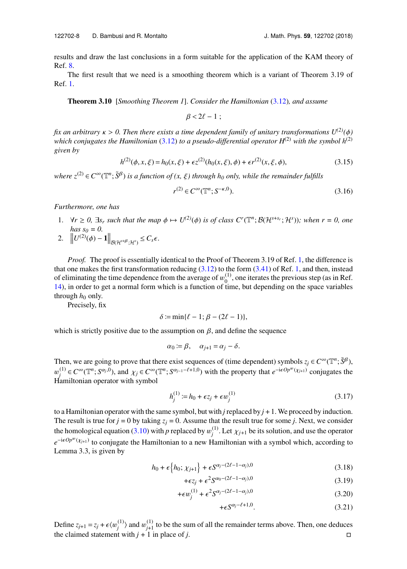results and draw the last conclusions in a form suitable for the application of the KAM theory of Ref. [8.](#page-13-0)

The first result that we need is a smoothing theorem which is a variant of Theorem 3.19 of Ref. [1.](#page-12-0)

**Theorem 3.10** [*Smoothing Theorem 1*]. *Consider the Hamiltonian* [\(3.12\)](#page-7-1)*, and assume*

$$
\beta < 2\ell - 1 \; ;
$$

*fix an arbitrary*  $\kappa > 0$ . Then there exists a time dependent family of unitary transformations  $U^{(2)}(\phi)$ *which conjugates the Hamiltonian* [\(3.12\)](#page-7-1) *to a pseudo-differential operator*  $H^{(2)}$  *with the symbol*  $h^{(2)}$ *given by*

$$
h^{(2)}(\phi, x, \xi) = h_0(x, \xi) + \epsilon z^{(2)}(h_0(x, \xi), \phi) + \epsilon r^{(2)}(x, \xi, \phi),
$$
\n(3.15)

 $where \ z^{(2)} \in C^\infty(\mathbb{T}^n; \tilde{S}^\beta)$  *is a function of*  $(x, \xi)$  *through*  $h_0$  *only, while the remainder fulfills* 

$$
r^{(2)} \in C^{\infty}(\mathbb{T}^n; S^{-\kappa,0}).
$$
\n
$$
(3.16)
$$

*Furthermore, one has*

1.  $\forall r \ge 0$ ,  $\exists s_r$  *such that the map*  $\phi \mapsto U^{(2)}(\phi)$  *is of class C<sup>r</sup>*( $\mathbb{T}^n$ ;  $\mathcal{B}(\mathcal{H}^{s+s_r}; \mathcal{H}^s)$ )*; when*  $r = 0$ , one *has*  $s_0 = 0$ .  $\overline{\mathbf{u}}$ 

$$
2. \quad \left\| U^{(2)}(\phi) - \mathbf{1} \right\|_{\mathcal{B}(\mathcal{H}^{s+\beta};\mathcal{H}^s)} \leq C_s \epsilon.
$$

*Proof.* The proof is essentially identical to the Proof of Theorem 3.19 of Ref. [1,](#page-12-0) the difference is that one makes the first transformation reducing  $(3.12)$  to the form  $(3.41)$  of Ref. [1,](#page-12-0) and then, instead of eliminating the time dependence from the average of  $w_0^{(1)}$ <br>14) in order to get a normal form which is a function of time  $_{0}^{(1)}$ , one iterates the previous step (as in Ref. [14\)](#page-13-3), in order to get a normal form which is a function of time, but depending on the space variables through  $h_0$  only.

Precisely, fix

$$
\delta \coloneqq \min\{\ell-1; \beta - (2\ell - 1)\},\
$$

which is strictly positive due to the assumption on  $\beta$ , and define the sequence

$$
\alpha_0 := \beta, \quad \alpha_{j+1} = \alpha_j - \delta.
$$

Then, we are going to prove that there exist sequences of (time dependent) symbols  $z_j \in C^\infty(\mathbb{T}^n; \tilde{S}^\beta)$ , Hamiltonian operator with symbol (1) *i*<sup>1</sup>) ∈ *C*<sup>∞</sup>(T<sup>*n*</sup>; *S*<sup>α*j*,0</sup>), and  $\chi_j$  ∈ *C*<sup>∞</sup>(T<sup>*n*</sup>; *S*<sup>α*j*-1</sub>− $\ell$ +1,0</sup>) with the property that *e*<sup>-i $\epsilon$ *Op*<sup>*w*</sup>(*X<sub>j+1</sub>*) conjugates the</sup>

$$
h_j^{(1)} := h_0 + \epsilon z_j + \epsilon w_j^{(1)}
$$
\n(3.17)

to a Hamiltonian operator with the same symbol, but with *j* replaced by  $j + 1$ . We proceed by induction. The result is true for  $j = 0$  by taking  $z_j = 0$ . Assume that the result true for some *j*. Next, we consider the homological equation [\(3.10\)](#page-6-1) with *p* replaced by  $w_j^{(1)}$ <sup>(1)</sup>. Let  $\chi_{j+1}$  be its solution, and use the operator  $e^{-i\epsilon Op^w(\chi_{j+1})}$  to conjugate the Hamiltonian to a new Hamiltonian with a symbol which, according to Lemma 3.3, is given by  $\mathbf{r}$ 

$$
h_0 + \epsilon \left\{ h_0; \chi_{j+1} \right\} + \epsilon S^{\alpha_j - (2\ell - 1 - \alpha_j), 0}
$$
\n(3.18)

$$
+\epsilon z_j + \epsilon^2 S^{\alpha_0 - (2\ell - 1 - \alpha_j),0} \tag{3.19}
$$

$$
+\epsilon w_j^{(1)} + \epsilon^2 S^{\alpha_j - (2\ell - 1 - \alpha_j),0}
$$
\n(3.20)

$$
+\epsilon S^{\alpha_j-\ell+1,0}.\tag{3.21}
$$

Define  $z_{j+1} = z_j + \epsilon \langle w_j^{(1)} \rangle$ <sup>(1)</sup>) and  $w_j^{(1)}$  to be the sum of all the remainder terms above. Then, one deduces  $j$  with  $j+1$  in place of  $j$ the claimed statement with  $j + 1$  in place of *j*.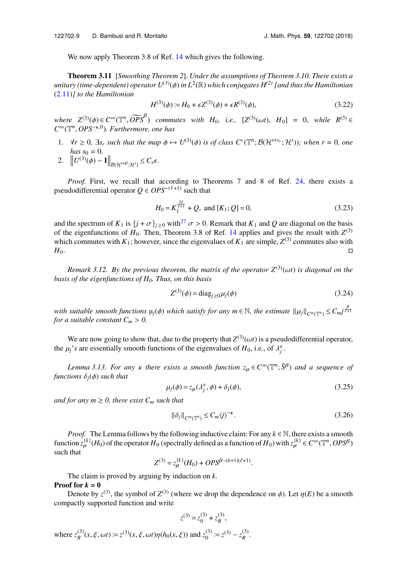We now apply Theorem 3.8 of Ref. [14](#page-13-3) which gives the following.

**Theorem 3.11** [*Smoothing Theorem 2*]. *Under the assumptions of Theorem 3.10. There exists a unitary (time-dependent) operator U(3)*(φ) *in L*<sup>2</sup> (R) *which conjugates H(2) [and thus the Hamiltonian* [\(2.11\)](#page-4-0)*] to the Hamiltonian*

<span id="page-9-0"></span>
$$
H^{(3)}(\phi) := H_0 + \epsilon Z^{(3)}(\phi) + \epsilon R^{(3)}(\phi),\tag{3.22}
$$

*where*  $Z^{(3)}(\phi) \in C^{\infty}(\mathbb{T}^n, \widetilde{OPS}^{\beta})$  *commutes with*  $H_0$ , *i.e.*,  $[Z^{(3)}(\omega t), H_0] = 0$ , *while*  $R^{(3)} \in C^{\infty}(\mathbb{T}^n, OPS^{-\kappa,0})$ . *Eurthermore* one has *C* <sup>∞</sup>(T *n* , *OPS*−κ,0)*. Furthermore, one has*

- 1.  $\forall r \ge 0$ ,  $\exists s_r$  *such that the map*  $\phi \mapsto U^{(3)}(\phi)$  *is of class C<sup>r</sup>*( $\mathbb{T}^n$ ;  $\mathcal{B}(\mathcal{H}^{s+s_r}; \mathcal{H}^s)$ )*; when*  $r = 0$ *, one has*  $s_0 = 0$ *.*
- 2.  $\left\| U^{(3)}(\phi) 1 \right\|_{\mathcal{B}(\mathcal{H}^{s+\beta};\mathcal{H}^s)} \leq C_s \epsilon.$

*Proof.* First, we recall that according to Theorems 7 and 8 of Ref. [24,](#page-13-9) there exists a pseudodifferential operator  $Q \in OPS^{-(\ell+1)}$  such that

$$
H_0 = K_1^{\frac{2\ell}{\ell+1}} + Q, \text{ and } [K_1; Q] = 0,
$$
\n(3.23)

and the spectrum of  $K_1$  is  $\{j + \sigma\}_{j \geq 0}$  with<sup>[27](#page-13-12)</sup>  $\sigma > 0$ . Remark that  $K_1$  and Q are diagonal on the basis of the eigenfunctions of  $H_0$ . Then, Theorem 3.8 of Ref. [14](#page-13-3) applies and gives the result with  $Z^{(3)}$ which commutes with  $K_1$ ; however, since the eigenvalues of  $K_1$  are simple,  $Z^{(3)}$  commutes also with  $H_0$ .

*Remark 3.12. By the previous theorem, the matrix of the operator*  $Z^{(3)}(\omega t)$  *is diagonal on the basis of the eigenfunctions of H0. Thus, on this basis*

$$
Z^{(3)}(\phi) = \text{diag}_{j \ge 0} \mu_j(\phi) \tag{3.24}
$$

*with suitable smooth functions*  $\mu_j(\phi)$  *which satisfy for any m*  $\in \mathbb{N}$ *, the estimate*  $\|\mu_j\|_{C^m(\mathbb{T}^n)} \leq C_m j^{\frac{\beta}{\ell+1}}$ *for a suitable constant*  $C_m > 0$ .

We are now going to show that, due to the property that  $Z^{(3)}(\omega t)$  is a pseudodifferential operator, the  $\mu_j$ 's are essentially smooth functions of the eigenvalues of  $H_0$ , i.e., of  $\lambda_j^v$ .

*Lemma 3.13. For any*  $\kappa$  *there exists a smooth function*  $z_{\mu} \in C^{\infty}(\mathbb{T}^n; \tilde{S}^{\beta})$  *and a sequence of tions*  $\delta$ :( $\delta$ ) such that *functions*  $\delta_i(\phi)$  *such that* 

$$
\mu_j(\phi) = z_\mu(\lambda_j^v, \phi) + \delta_j(\phi),\tag{3.25}
$$

*and for any m*  $\geq$  0, there exist  $C_m$  *such that* 

$$
\|\delta_j\|_{C^m(\mathbb{T}^n)} \le C_m \langle j \rangle^{-\kappa}.
$$
\n(3.26)

*Proof.* The Lemma follows by the following inductive claim: For any  $k \in \mathbb{N}$ , there exists a smooth function  $z_{\mu}^{(k)}(H_0)$  of the operator  $H_0$  (spectrally defined as a function of  $H_0$ ) with  $z_{\mu}^{(k)} \in C^{\infty}(\mathbb{T}^n, OPS^{\beta})$ such that

$$
Z^{(3)} = z_{\mu}^{(k)}(H_0) + OPS^{\beta - (k+1)(\ell+1)}.
$$

The claim is proved by arguing by induction on *k*. **Proof for**  $k = 0$ 

Denote by  $z^{(3)}$ , the symbol of  $Z^{(3)}$  (where we drop the dependence on  $\phi$ ). Let  $\eta(E)$  be a smooth pactly supported function and write compactly supported function and write

$$
z^{(3)} = z_0^{(3)} + z_R^{(3)},
$$

where  $z_R^{(3)}$  $R^{(3)}(x, \xi, \omega t) := z^{(3)}(x, \xi, \omega t) \eta(h_0(x, \xi))$  and  $z_0^{(3)} := z^{(3)} - z_R^{(3)}$ *R* .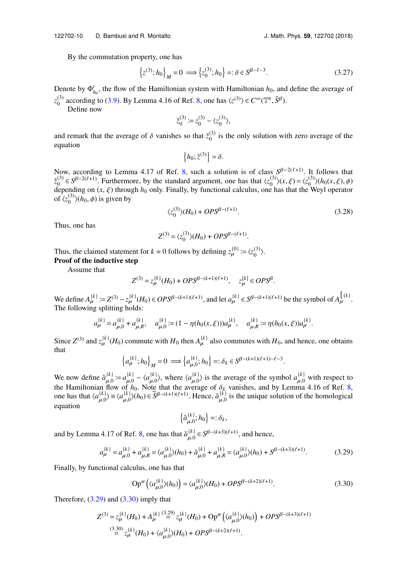By the commutation property, one has

$$
\{z^{(3)}; h_0\}_M = 0 \implies \{z_0^{(3)}; h_0\} =: \delta \in S^{\beta - \ell - 3}.
$$
 (3.27)

Denote by  $\Phi_{h_0}^t$ , the flow of the Hamiltonian system with Hamiltonian  $h_0$ , and define the average of  $z_0^{(3)}$ <sup>(3)</sup> according to [\(3.9\)](#page-6-2). By Lemma 4.16 of Ref. [8,](#page-13-0) one has  $\langle z^{(3)} \rangle \in C^{\infty}(\mathbb{T}^n, \tilde{S}^{\beta})$ .

Define now

$$
\check{z}_0^{(3)} := z_0^{(3)} - \langle z_0^{(3)} \rangle,
$$

and remark that the average of  $\delta$  vanishes so that  $\zeta_0^{(3)}$  $_{0}^{(5)}$  is the only solution with zero average of the equation  $\overline{a}$ 

$$
\left\{h_0; \check{z}^{(3)}\right\} = \delta.
$$

 ${h_0; \xi^{(3)} = \delta.}$ <br>Now, according to Lemma 4.17 of Ref. [8,](#page-13-0) such a solution is of class  $S^{\beta - 2(\ell+1)}$ . It follows that  $\zeta_0^{(3)}$  $0^{(3)}$  ∈ *S*<sup>β-2( $\ell$ +1). Furthermore, by the standard argument, one has that  $\langle z_0^{(3)} \rangle$ </sup>  $\langle 0^{(3)} \rangle$  $(x, \xi) = \langle z_0^{(3)} \rangle$ <br>A has that the W  $\binom{3}{0}$  (*h*<sub>0</sub>(*x*, *ξ*), *ϕ*) depending on  $(x, \xi)$  through  $h_0$  only. Finally, by functional calculus, one has that the Weyl operator of  $\ell z^{(3)}(h_0, \phi)$  is given by of  $\zeta_0^{(3)}$  $\binom{3}{0}$  (*h*<sub>0</sub>,  $\phi$ ) is given by

$$
\langle z_0^{(3)} \rangle (H_0) + OPS^{\beta - (\ell + 1)}.
$$
\n(3.28)

Thus, one has

$$
Z^{(3)} = \langle z_0^{(3)} \rangle (H_0) + OPS^{\beta - (\ell + 1)}.
$$

Thus, the claimed statement for  $k = 0$  follows by defining  $z_{\mu}^{\{0\}} := \langle z_0^{(3)} \rangle$  $\binom{3}{0}$ . **Proof of the inductive step**

Assume that

$$
Z^{(3)} = z_{\mu}^{[k]}(H_0) + OPS^{\beta - (k+1)(\ell+1)}, \quad z_{\mu}^{[k]} \in OPS^{\beta}.
$$

We define  $A_{\mu}^{(k)} := Z^{(3)} - z_{\mu}^{(k)}(H_0) \in OPS^{\beta-(k+1)(\ell+1)}$ , and let  $a_{\mu}^{(k)} \in S^{\beta-(k+1)(\ell+1)}$  be the symbol of  $A_{\mu}^{(\ell)}$ . The following splitting holds:

$$
a_{\mu}^{(k)} = a_{\mu,0}^{(k)} + a_{\mu,R}^{(k)}, \quad a_{\mu,0}^{(k)} := (1 - \eta(h_0(x,\xi)))a_{\mu}^{(k)}, \quad a_{\mu,R}^{(k)} := \eta(h_0(x,\xi))a_{\mu}^{(k)}.
$$

Since  $Z^{(3)}$  and  $z_{\mu}^{(k)}(H_0)$  commute with  $H_0$  then  $A_{\mu}^{(k)}$  also commutes with  $H_0$ , and hence, one obtains that  $\overline{a}$ )  $\overline{a}$ )

$$
\left\{a_{\mu}^{(k)}; h_0\right\}_M = 0 \implies \left\{a_{\mu,0}^{(k)}; h_0\right\} =: \delta_k \in S^{\beta - (k+1)(\ell+1) - \ell - 3}.
$$

We now define  $\check{a}^{(k)}_{\mu,0} := a^{(k)}_{\mu,0} - \langle a^{(k)}_{\mu,0} \rangle$ , where  $\langle a^{(k)}_{\mu,0} \rangle$  is the average of the symbol  $a^{(k)}_{\mu,0}$  with respect to the Hamiltonian flow of  $h_0$ . Note that the average of  $\delta_0$  vanishes, and the Hamiltonian flow of  $h_0$ . Note that the average of  $\delta_k$  vanishes, and by Lemma 4.16 of Ref. [8,](#page-13-0) one has that  $\langle a_{\mu,0}^{[k]} \rangle \equiv \langle a_{\mu,0}^{[k]} \rangle(h_0) \in \widetilde{S}^{\beta-(k+1)(\ell+1)}$ . Hence,  $\check{a}_{\mu,0}^{[k]}$  is the unique solutio equation  $\overline{a}$ )

<span id="page-10-1"></span><span id="page-10-0"></span>
$$
\left\{\breve{a}_{\mu,0}^{\{k\}};h_0\right\}=: \delta_k,
$$

and by Lemma 4.17 of Ref. [8,](#page-13-0) one has that  $\check{a}^{(k)}_{\mu,0} \in S^{\beta-(k+3)(\ell+1)}$ , and hence,

$$
a_{\mu}^{(k)} = a_{\mu,0}^{(k)} + a_{\mu,R}^{(k)} = \langle a_{\mu,0}^{(k)} \rangle (h_0) + \check{a}_{\mu,0}^{(k)} + a_{\mu,R}^{(k)} = \langle a_{\mu,0}^{(k)} \rangle (h_0) + S^{\beta - (k+3)(\ell+1)}.
$$
 (3.29)

Finally, by functional calculus, one has that

$$
Op^{w}(\langle a_{\mu,0}^{(k)}\rangle(h_{0})) = \langle a_{\mu,0}^{(k)}\rangle(H_{0}) + OPS^{\beta-(k+2)(\ell+1)}.
$$
\n(3.30)

Therefore,  $(3.29)$  and  $(3.30)$  imply that

$$
Z^{(3)} = z_{\mu}^{(k)}(H_0) + A_{\mu}^{(k)} \stackrel{(3.29)}{=} z_{\mu}^{(k)}(H_0) + \text{Op}^w(\langle a_{\mu,0}^{(k)}\rangle(h_0)) + OPS^{\beta - (k+3)(\ell+1)}
$$
  

$$
\stackrel{(3.30)}{=} z_{\mu}^{(k)}(H_0) + \langle a_{\mu,0}^{(k)}\rangle(H_0) + OPS^{\beta - (k+2)(\ell+1)}.
$$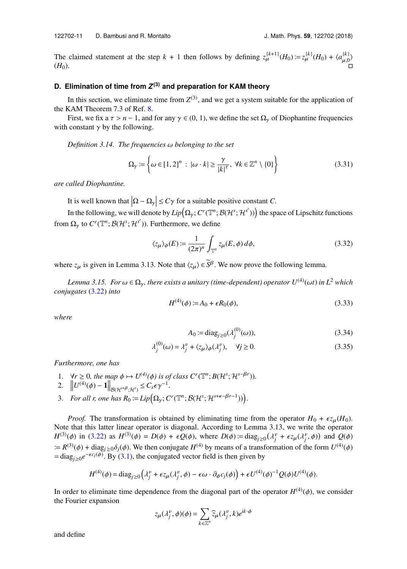The claimed statement at the step  $k + 1$  then follows by defining  $z_{\mu}^{(k+1)}(H_0) := z_{\mu}^{(k)}(H_0) + \langle a_{\mu,0}^{(k)} \rangle$ <br>  $\square$ 

#### <span id="page-11-0"></span>**D. Elimination of time from** *Z* **(3) and preparation for KAM theory**

In this section, we eliminate time from  $Z^{(3)}$ , and we get a system suitable for the application of the KAM Theorem 7.3 of Ref. [8.](#page-13-0)

First, we fix a  $\tau > n - 1$ , and for any  $\gamma \in (0, 1)$ , we define the set  $\Omega_{\gamma}$  of Diophantine frequencies with constant  $\gamma$  by the following.

*Definition 3.14. The frequencies* ω *belonging to the set*

$$
\Omega_{\gamma} := \left\{ \omega \in [1, 2]^n : |\omega \cdot k| \ge \frac{\gamma}{|k|^{\tau}}, \ \forall k \in \mathbb{Z}^n \setminus \{0\} \right\}
$$
 (3.31)

*are called Diophantine.*

It is well known that  $|\Omega - \Omega_{\gamma}| \le C\gamma$  for a suitable positive constant *C*.

In the following, we will denote by  $Lip(\Omega_\gamma; C^r(\mathbb{T}^n; \mathcal{B}(\mathcal{H}^s; \mathcal{H}^{s'}))$  the space of Lipschitz functions from  $\Omega$ <sub>*y*</sub> to  $C^r(\mathbb{T}^n; \mathcal{B}(\mathcal{H}^s; \mathcal{H}^{s'}))$ . Furthermore, we define

<span id="page-11-1"></span>
$$
\langle z_{\mu} \rangle_{\phi}(E) := \frac{1}{(2\pi)^n} \int_{\mathbb{T}^n} z_{\mu}(E, \phi) d\phi,
$$
 (3.32)

where  $z_{\mu}$  is given in Lemma 3.13. Note that  $\langle z_{\mu} \rangle \in \tilde{S}^{\beta}$ . We now prove the following lemma.

*Lemma 3.15. For*  $\omega \in \Omega_{\gamma}$ *, there exists a unitary (time-dependent) operator*  $U^{(4)}(\omega t)$  *in L<sup>2</sup> which conjugates* [\(3.22\)](#page-9-0) *into*

<span id="page-11-2"></span>
$$
H^{(4)}(\phi) := A_0 + \epsilon R_0(\phi),\tag{3.33}
$$

*where*

$$
A_0 := \text{diag}_{j \ge 0}(\lambda_j^{(0)}(\omega)),\tag{3.34}
$$

$$
\lambda_j^{(0)}(\omega) = \lambda_j^v + \langle z_\mu \rangle_\phi(\lambda_j^v), \quad \forall j \ge 0.
$$
\n(3.35)

*Furthermore, one has*

- 1.  $\forall r \ge 0$ *, the map*  $\phi \mapsto U^{(4)}(\phi)$  is of class  $C^r(\mathbb{T}^n; B(\mathcal{H}^s; \mathcal{H}^{s-\beta r}))$ .<br>2.  $||_{U^{(4)}(\phi)} = 1|| \le C \epsilon_0 e^{-1}$
- 2.  $\left\| U^{(4)}(\phi) 1 \right\|_{\mathcal{B}(\mathcal{H}^{s+\beta};\mathcal{H}^s)} \leq C_s \epsilon \gamma^{-1}.$
- 3. *For all r, one has*  $R_0 := Lip\Big(\Omega_\gamma; C^r(\mathbb{T}^n; \mathcal{B}(\mathcal{H}^s; \mathcal{H}^{s+\kappa-\beta r-1}))\Big).$

*Proof.* The transformation is obtained by eliminating time from the operator  $H_0 + \epsilon z_\mu(H_0)$ . Note that this latter linear operator is diagonal. According to Lemma 3.13, we write the operator *H*<sup>(3)</sup>(φ) in [\(3.22\)](#page-9-0) as *H*<sup>(3)</sup>(φ) = *D*(φ) + *εQ*(φ), where *D*(φ) = diag<sub>j≥0</sub>(λ<sup>*y*</sup> +  $\epsilon z_{\mu}(\lambda_j^{\nu}, \phi)$ ) and *Q*(φ)  $\mathbb{R} = R^{(3)}(\phi) + \text{diag}_{j \geq 0} \delta_j(\phi)$ . We then conjugate *H*<sup>(4)</sup> by means of a transformation of the form  $U^{(4)}(\phi)$ <br>- diag  $e^{-\epsilon G(\phi)}$  By (3.1) the conjugated vector field is then given by  $=$  diag<sub>j≥0</sub> $e^{-\epsilon c_j(\phi)}$ . By [\(3.1\)](#page-5-2), the conjugated vector field is then given by

$$
H^{(4)}(\phi) = \text{diag}_{j\geq 0}\Big(\lambda_j^v + \epsilon z_\mu(\lambda_j^v, \phi) - \epsilon \omega \cdot \partial_\phi c_j(\phi)\Big) + \epsilon U^{(4)}(\phi)^{-1} Q(\phi) U^{(4)}(\phi).
$$

In order to eliminate time dependence from the diagonal part of the operator  $H^{(4)}(\phi)$ , we consider the Fourier expansion the Fourier expansion

$$
z_{\mu}(\lambda_j^v, \phi)(\phi) = \sum_{k \in \mathbb{Z}^n} \widehat{z}_{\mu}(\lambda_j^v, k) e^{ik \cdot \phi}
$$

and define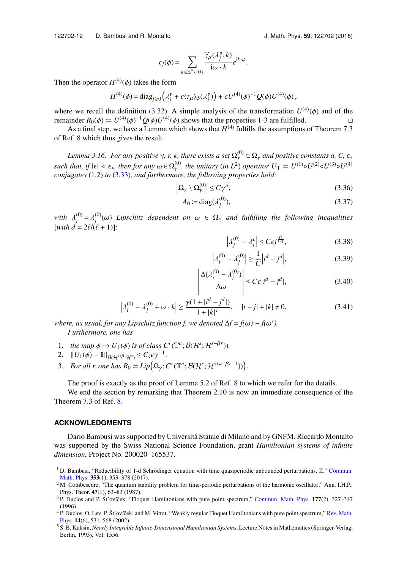122702-12 D. Bambusi and R. Montalto J. Math. Phys. **59**, 122702 (2018)

$$
c_j(\phi) = \sum_{k \in \mathbb{Z}^n \backslash \{0\}} \frac{\widehat{z}_{\mu}(\lambda_j^v, k)}{\mathrm{i}\omega \cdot k} e^{\mathrm{i}k \cdot \phi}.
$$

Then the operator  $H^{(4)}(\phi)$  takes the form

$$
H^{(4)}(\phi) = \text{diag}_{j\geq 0}\left(\lambda_j^v + \epsilon \langle z_\mu \rangle_\phi(\lambda_j^v)\right) + \epsilon U^{(4)}(\phi)^{-1} Q(\phi) U^{(4)}(\phi),
$$

where we recall the definition [\(3.32\)](#page-11-1). A simple analysis of the transformation  $U^{(4)}(\phi)$  and of the remainder  $R_0(\phi) = U^{(4)}(\phi)^{-1} O(\phi) U^{(4)}(\phi)$  shows that the properties 1-3 are fulfilled remainder  $R_0(\phi) \coloneqq U^{(4)}(\phi)^{-1} Q(\phi) U$ <br>As a final step, we have a Lemm inder  $R_0(\phi) := U^{(4)}(\phi)^{-1} Q(\phi) U^{(4)}(\phi)$  shows that the properties 1-3 are fulfilled. <br>As a final step, we have a Lemma which shows that  $H^{(4)}$  fulfills the assumptions of Theorem 7.3

of Ref. [8](#page-13-0) which thus gives the result.

*Lemma 3.16. For any positive*  $\gamma$ ,  $r$ ,  $\kappa$ , there exists a set  $\Omega_{\gamma}^{(0)} \subset \Omega_{\gamma}$  and positive constants a, C,  $\epsilon_{\ast}$ *such that, if*  $|\epsilon| < \epsilon_*$ *, then for any*  $\omega \in \Omega_y^{(0)}$ *, the unitary* (*in L*<sup>2</sup>) *operator*  $U_1 := U^{(1)} \circ U^{(2)} \circ U^{(3)} \circ U^{(4)}$ <br>conjugates (1,2) to (3,33), and furthermore, the following properties hold: *conjugates* [\(1.2\)](#page-1-3) *to* [\(3.33\)](#page-11-2)*, and furthermore, the following properties hold:*

$$
\left|\Omega_{\gamma} \setminus \Omega_{\gamma}^{(0)}\right| \le C\gamma^{a},\tag{3.36}
$$

$$
A_0 := \text{diag}(\lambda_j^{(0)}),\tag{3.37}
$$

with  $\lambda_j^{(0)}$ <br>*with*  $d-$ <sup>(0)</sup>  $\lambda_j^{(0)} = \lambda_j^{(0)}$   $\lambda_j^{(0)} = 2 \ell l \ell \ell$  $j_{j}^{(0)}(ω)$  *Lipschitz dependent on* ω ∈ Ω<sub>γ</sub> *and fulfilling the following inequalities*<br><sup>*i*</sup>  $(0, ρ)$  *Lipschitz dependent on* ω ∈ Ω<sub>γ</sub> *and fulfilling the following inequalities* [*with*  $\tilde{d} = 2\ell/(\ell + 1)$ ]:

<span id="page-12-2"></span>
$$
\left|\lambda_j^{(0)} - \lambda_j^v\right| \le C\epsilon j^{\frac{\beta}{l+1}},\tag{3.38}
$$

$$
\left| \lambda_i^{(0)} - \lambda_j^{(0)} \right| \ge \frac{1}{C} \left| i^d - j^d \right|,\tag{3.39}
$$

$$
\left| \frac{\Delta(\lambda_i^{(0)} - \lambda_j^{(0)})}{\Delta \omega} \right| \le C\epsilon |i^d - j^d|,
$$
\n(3.40)

$$
\left|\lambda_i^{(0)} - \lambda_j^{(0)} + \omega \cdot k\right| \ge \frac{\gamma(1 + |i^d - j^d|)}{1 + |k|^\tau}, \quad |i - j| + |k| \ne 0,
$$
\nwhere, as usual, for any Lipschitz function  $f$ , we denoted  $\Delta f = f(\omega) - f(\omega')$ .

0 *). Furthermore, one has*

- 1. *the map*  $\phi \mapsto U_1(\phi)$  *is of class*  $C^r(\mathbb{T}^n; \mathcal{B}(\mathcal{H}^s; \mathcal{H}^{s-\beta r}))$ .<br>2.  $||U_1(\phi) 1||_{\mathcal{H}^s(\mathcal{H}^s)} \leq C \epsilon \gamma^{-1}$
- 2.  $||U_1(\phi) 1||_{\mathcal{B}(\mathcal{H}^{s+\beta};\mathcal{H}^s)} \leq C_s \epsilon \gamma^{-1}.$
- 3. *For all r, one has*  $R_0 := Lip\Big(\Omega_\gamma; C^r(\mathbb{T}^n; \mathcal{B}(\mathcal{H}^s; \mathcal{H}^{s+\kappa-\beta r-1}))\Big).$

The proof is exactly as the proof of Lemma 5.2 of Ref. [8](#page-13-0) to which we refer for the details.

We end the section by remarking that Theorem 2.10 is now an immediate consequence of the Theorem 7.3 of Ref. [8.](#page-13-0)

#### **ACKNOWLEDGMENTS**

Dario Bambusi was supported by Universita Statale di Milano and by GNFM. Riccardo Montalto ´ was supported by the Swiss National Science Foundation, grant *Hamiltonian systems of infinite dimension*, Project No. 200020–165537.

- <sup>4</sup> P. Duclos, O. Lev, P. Št'ovíček, and M. Vittot, "Weakly regular Floquet Hamiltonians with pure point spectrum," [Rev. Math.](https://doi.org/10.1142/s0129055x02001363) [Phys.](https://doi.org/10.1142/s0129055x02001363) **14**(6), 531–568 (2002).
- <sup>5</sup> S. B. Kuksin, *Nearly Integrable Infinite-Dimensional Hamiltonian Systems*, Lecture Notes in Mathematics (Springer-Verlag, Berlin, 1993), Vol. 1556.

<span id="page-12-0"></span><sup>&</sup>lt;sup>1</sup> D. Bambusi, "Reducibility of 1-d Schrödinger equation with time quasiperiodic unbounded perturbations. II," [Commun.](https://doi.org/10.1007/s00220-016-2825-2) [Math. Phys.](https://doi.org/10.1007/s00220-016-2825-2) **353**(1), 353–378 (2017).

<span id="page-12-1"></span><sup>&</sup>lt;sup>2</sup> M. Combescure, "The quantum stability problem for time-periodic perturbations of the harmonic oscillator," Ann. I.H.P.: Phys. Theor. **47**(1), 63–83 (1987).

<sup>&</sup>lt;sup>3</sup> P. Duclos and P. Št'ovíček, "Floquet Hamiltonians with pure point spectrum," [Commun. Math. Phys.](https://doi.org/10.1007/bf02101896) 177(2), 327–347 (1996).